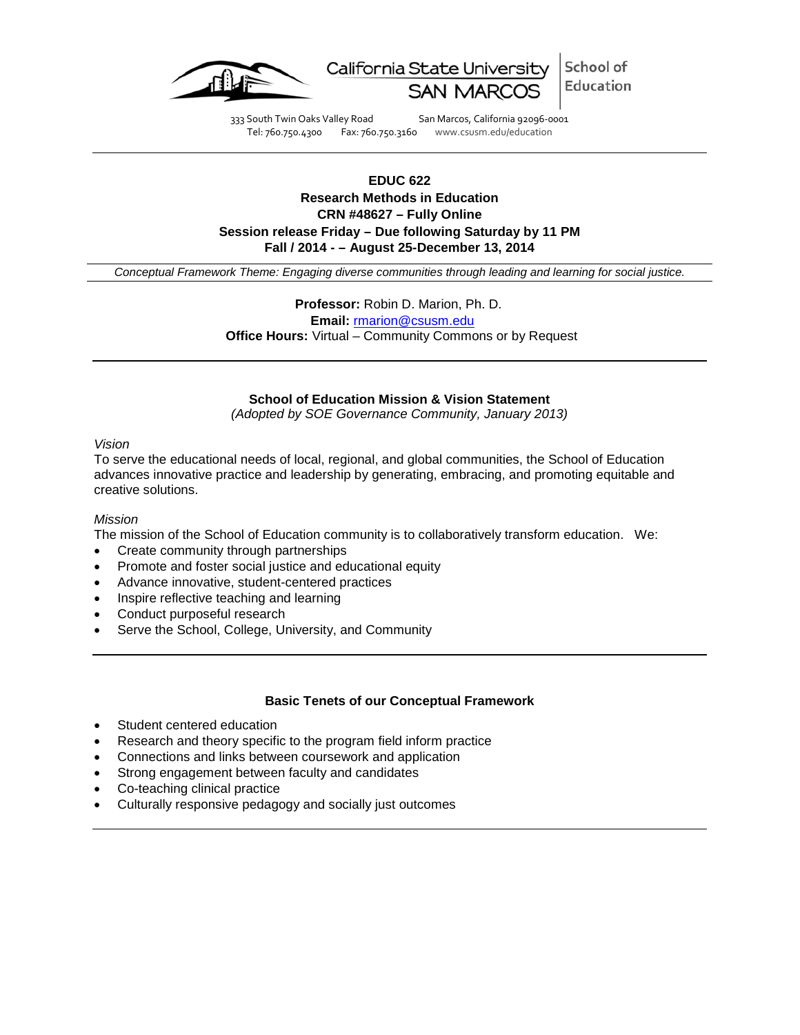

School of California State University Education

333 South Twin Oaks Valley Road San Marcos, California 92096-0001 Tel: 760.750.4300 Fax: 760.750.3160 www.csusm.edu/education

# **EDUC 622 Research Methods in Education CRN #48627 – Fully Online Session release Friday – Due following Saturday by 11 PM Fall / 2014 - – August 25-December 13, 2014**

*Conceptual Framework Theme: Engaging diverse communities through leading and learning for social justice.*

 **Professor:** Robin D. Marion, Ph. D. **Email:** [rmarion@csusm.edu](mailto:rmarion@csusm.edu) **Office Hours:** Virtual – Community Commons or by Request

### **School of Education Mission & Vision Statement**

*(Adopted by SOE Governance Community, January 2013)*

#### *Vision*

To serve the educational needs of local, regional, and global communities, the School of Education advances innovative practice and leadership by generating, embracing, and promoting equitable and creative solutions.

#### *Mission*

The mission of the School of Education community is to collaboratively transform education. We:

- Create community through partnerships
- Promote and foster social justice and educational equity
- Advance innovative, student-centered practices
- Inspire reflective teaching and learning
- Conduct purposeful research
- Serve the School, College, University, and Community

#### **Basic Tenets of our Conceptual Framework**

- Student centered education
- Research and theory specific to the program field inform practice
- Connections and links between coursework and application
- Strong engagement between faculty and candidates
- Co-teaching clinical practice
- Culturally responsive pedagogy and socially just outcomes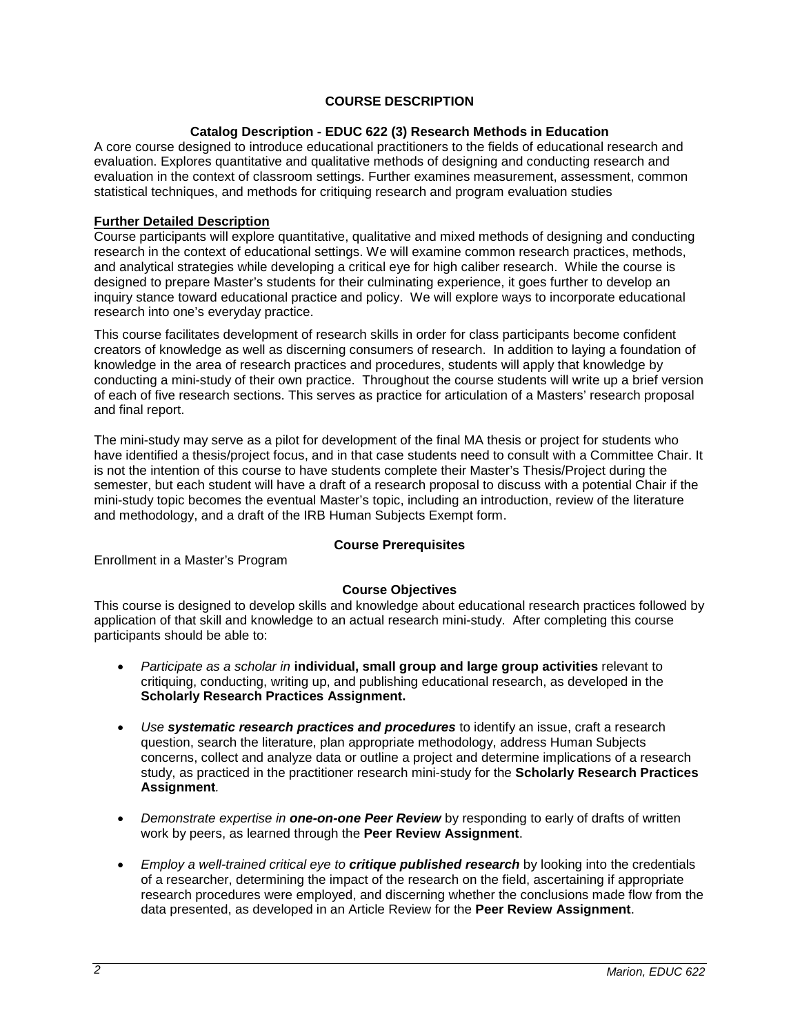# **COURSE DESCRIPTION**

# **Catalog Description - EDUC 622 (3) Research Methods in Education**

A core course designed to introduce educational practitioners to the fields of educational research and evaluation. Explores quantitative and qualitative methods of designing and conducting research and evaluation in the context of classroom settings. Further examines measurement, assessment, common statistical techniques, and methods for critiquing research and program evaluation studies

### **Further Detailed Description**

Course participants will explore quantitative, qualitative and mixed methods of designing and conducting research in the context of educational settings. We will examine common research practices, methods, and analytical strategies while developing a critical eye for high caliber research. While the course is designed to prepare Master's students for their culminating experience, it goes further to develop an inquiry stance toward educational practice and policy. We will explore ways to incorporate educational research into one's everyday practice.

This course facilitates development of research skills in order for class participants become confident creators of knowledge as well as discerning consumers of research. In addition to laying a foundation of knowledge in the area of research practices and procedures, students will apply that knowledge by conducting a mini-study of their own practice. Throughout the course students will write up a brief version of each of five research sections. This serves as practice for articulation of a Masters' research proposal and final report.

The mini-study may serve as a pilot for development of the final MA thesis or project for students who have identified a thesis/project focus, and in that case students need to consult with a Committee Chair. It is not the intention of this course to have students complete their Master's Thesis/Project during the semester, but each student will have a draft of a research proposal to discuss with a potential Chair if the mini-study topic becomes the eventual Master's topic, including an introduction, review of the literature and methodology, and a draft of the IRB Human Subjects Exempt form.

#### **Course Prerequisites**

Enrollment in a Master's Program

# **Course Objectives**

This course is designed to develop skills and knowledge about educational research practices followed by application of that skill and knowledge to an actual research mini-study. After completing this course participants should be able to:

- *Participate as a scholar in* **individual, small group and large group activities** relevant to critiquing, conducting, writing up, and publishing educational research, as developed in the **Scholarly Research Practices Assignment.**
- *Use systematic research practices and procedures* to identify an issue, craft a research question, search the literature, plan appropriate methodology, address Human Subjects concerns, collect and analyze data or outline a project and determine implications of a research study, as practiced in the practitioner research mini-study for the **Scholarly Research Practices Assignment***.*
- *Demonstrate expertise in one-on-one Peer Review* by responding to early of drafts of written work by peers, as learned through the **Peer Review Assignment**.
- *Employ a well-trained critical eye to critique published research* by looking into the credentials of a researcher, determining the impact of the research on the field, ascertaining if appropriate research procedures were employed, and discerning whether the conclusions made flow from the data presented, as developed in an Article Review for the **Peer Review Assignment**.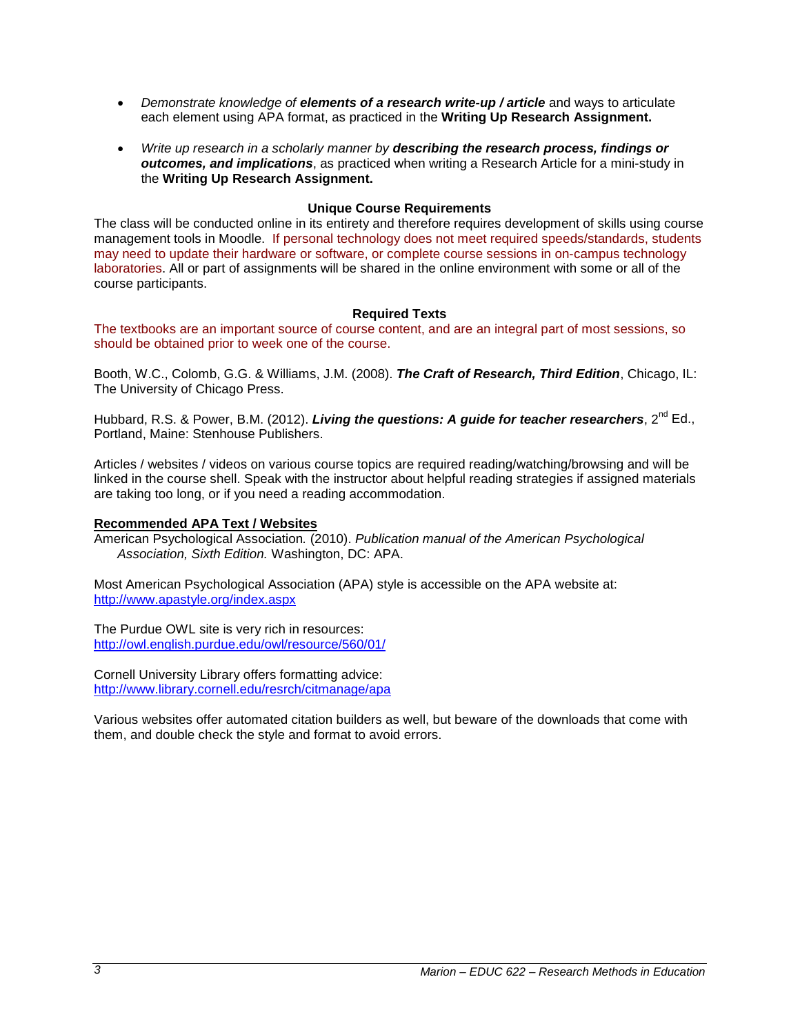- *Demonstrate knowledge of elements of a research write-up / article* and ways to articulate each element using APA format, as practiced in the **Writing Up Research Assignment.**
- *Write up research in a scholarly manner by describing the research process, findings or outcomes, and implications*, as practiced when writing a Research Article for a mini-study in the **Writing Up Research Assignment.**

# **Unique Course Requirements**

The class will be conducted online in its entirety and therefore requires development of skills using course management tools in Moodle. If personal technology does not meet required speeds/standards, students may need to update their hardware or software, or complete course sessions in on-campus technology laboratories. All or part of assignments will be shared in the online environment with some or all of the course participants.

# **Required Texts**

The textbooks are an important source of course content, and are an integral part of most sessions, so should be obtained prior to week one of the course.

Booth, W.C., Colomb, G.G. & Williams, J.M. (2008). *The Craft of Research, Third Edition*, Chicago, IL: The University of Chicago Press.

Hubbard, R.S. & Power, B.M. (2012). *Living the questions: A quide for teacher researchers*, 2<sup>nd</sup> Ed., Portland, Maine: Stenhouse Publishers.

Articles / websites / videos on various course topics are required reading/watching/browsing and will be linked in the course shell. Speak with the instructor about helpful reading strategies if assigned materials are taking too long, or if you need a reading accommodation.

#### **Recommended APA Text / Websites**

American Psychological Association*.* (2010). *Publication manual of the American Psychological Association, Sixth Edition.* Washington, DC: APA.

Most American Psychological Association (APA) style is accessible on the APA website at: <http://www.apastyle.org/index.aspx>

The Purdue OWL site is very rich in resources: <http://owl.english.purdue.edu/owl/resource/560/01/>

Cornell University Library offers formatting advice: <http://www.library.cornell.edu/resrch/citmanage/apa>

Various websites offer automated citation builders as well, but beware of the downloads that come with them, and double check the style and format to avoid errors.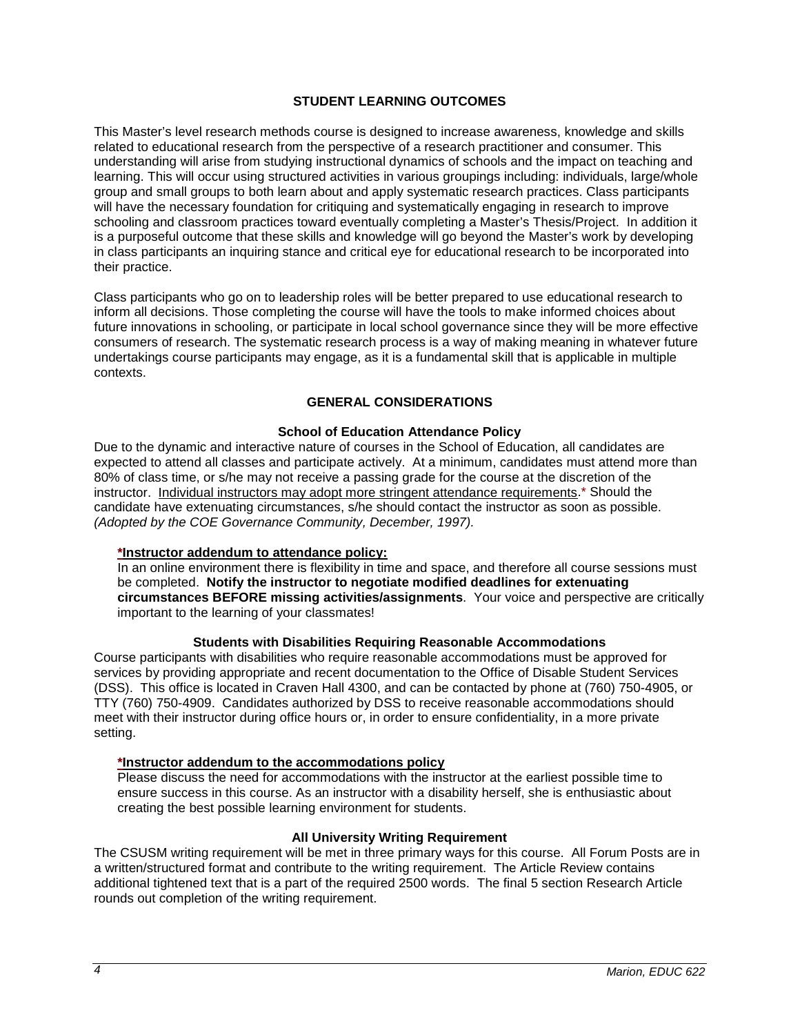### **STUDENT LEARNING OUTCOMES**

This Master's level research methods course is designed to increase awareness, knowledge and skills related to educational research from the perspective of a research practitioner and consumer. This understanding will arise from studying instructional dynamics of schools and the impact on teaching and learning. This will occur using structured activities in various groupings including: individuals, large/whole group and small groups to both learn about and apply systematic research practices. Class participants will have the necessary foundation for critiquing and systematically engaging in research to improve schooling and classroom practices toward eventually completing a Master's Thesis/Project. In addition it is a purposeful outcome that these skills and knowledge will go beyond the Master's work by developing in class participants an inquiring stance and critical eye for educational research to be incorporated into their practice.

Class participants who go on to leadership roles will be better prepared to use educational research to inform all decisions. Those completing the course will have the tools to make informed choices about future innovations in schooling, or participate in local school governance since they will be more effective consumers of research. The systematic research process is a way of making meaning in whatever future undertakings course participants may engage, as it is a fundamental skill that is applicable in multiple contexts.

### **GENERAL CONSIDERATIONS**

#### **School of Education Attendance Policy**

Due to the dynamic and interactive nature of courses in the School of Education, all candidates are expected to attend all classes and participate actively. At a minimum, candidates must attend more than 80% of class time, or s/he may not receive a passing grade for the course at the discretion of the instructor. Individual instructors may adopt more stringent attendance requirements.\* Should the candidate have extenuating circumstances, s/he should contact the instructor as soon as possible. *(Adopted by the COE Governance Community, December, 1997).*

#### **\*Instructor addendum to attendance policy:**

In an online environment there is flexibility in time and space, and therefore all course sessions must be completed. **Notify the instructor to negotiate modified deadlines for extenuating circumstances BEFORE missing activities/assignments**. Your voice and perspective are critically important to the learning of your classmates!

#### **Students with Disabilities Requiring Reasonable Accommodations**

Course participants with disabilities who require reasonable accommodations must be approved for services by providing appropriate and recent documentation to the Office of Disable Student Services (DSS). This office is located in Craven Hall 4300, and can be contacted by phone at (760) 750-4905, or TTY (760) 750-4909. Candidates authorized by DSS to receive reasonable accommodations should meet with their instructor during office hours or, in order to ensure confidentiality, in a more private setting.

#### **\*Instructor addendum to the accommodations policy**

Please discuss the need for accommodations with the instructor at the earliest possible time to ensure success in this course. As an instructor with a disability herself, she is enthusiastic about creating the best possible learning environment for students.

#### **All University Writing Requirement**

The CSUSM writing requirement will be met in three primary ways for this course. All Forum Posts are in a written/structured format and contribute to the writing requirement. The Article Review contains additional tightened text that is a part of the required 2500 words. The final 5 section Research Article rounds out completion of the writing requirement.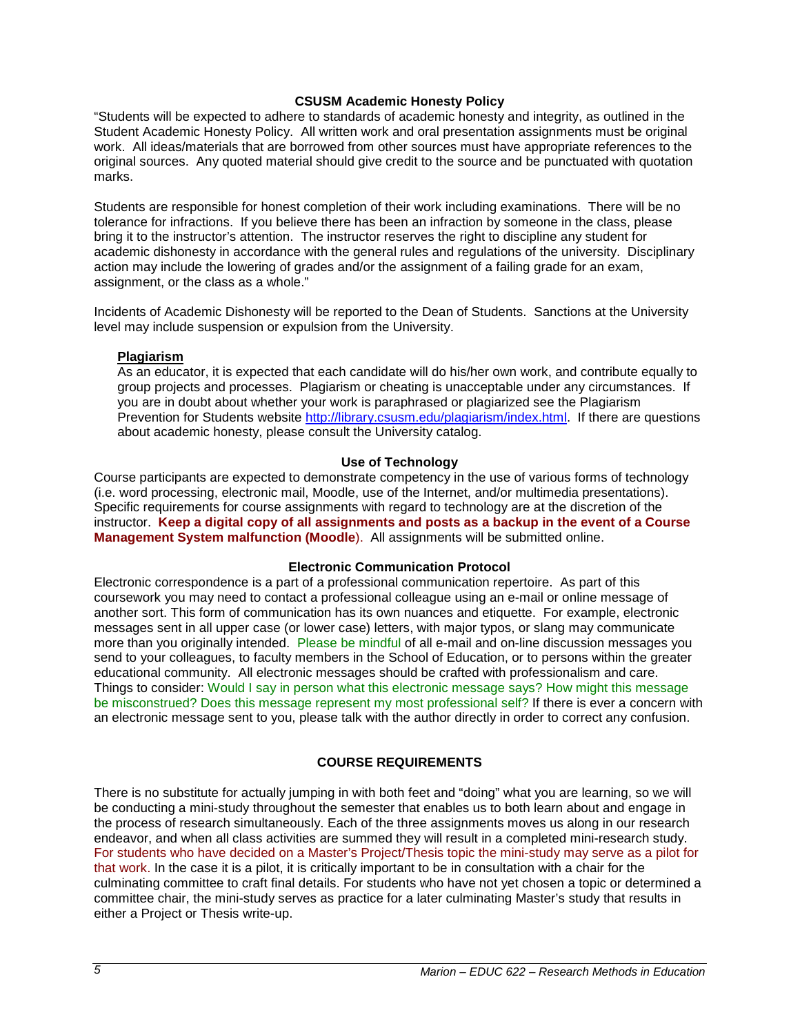### **CSUSM Academic Honesty Policy**

"Students will be expected to adhere to standards of academic honesty and integrity, as outlined in the Student Academic Honesty Policy. All written work and oral presentation assignments must be original work. All ideas/materials that are borrowed from other sources must have appropriate references to the original sources. Any quoted material should give credit to the source and be punctuated with quotation marks.

Students are responsible for honest completion of their work including examinations. There will be no tolerance for infractions. If you believe there has been an infraction by someone in the class, please bring it to the instructor's attention. The instructor reserves the right to discipline any student for academic dishonesty in accordance with the general rules and regulations of the university. Disciplinary action may include the lowering of grades and/or the assignment of a failing grade for an exam, assignment, or the class as a whole."

Incidents of Academic Dishonesty will be reported to the Dean of Students. Sanctions at the University level may include suspension or expulsion from the University.

### **Plagiarism**

As an educator, it is expected that each candidate will do his/her own work, and contribute equally to group projects and processes. Plagiarism or cheating is unacceptable under any circumstances. If you are in doubt about whether your work is paraphrased or plagiarized see the Plagiarism Prevention for Students website [http://library.csusm.edu/plagiarism/index.html.](http://library.csusm.edu/plagiarism/index.html) If there are questions about academic honesty, please consult the University catalog.

### **Use of Technology**

Course participants are expected to demonstrate competency in the use of various forms of technology (i.e. word processing, electronic mail, Moodle, use of the Internet, and/or multimedia presentations). Specific requirements for course assignments with regard to technology are at the discretion of the instructor. **Keep a digital copy of all assignments and posts as a backup in the event of a Course Management System malfunction (Moodle**). All assignments will be submitted online.

# **Electronic Communication Protocol**

Electronic correspondence is a part of a professional communication repertoire. As part of this coursework you may need to contact a professional colleague using an e-mail or online message of another sort. This form of communication has its own nuances and etiquette. For example, electronic messages sent in all upper case (or lower case) letters, with major typos, or slang may communicate more than you originally intended. Please be mindful of all e-mail and on-line discussion messages you send to your colleagues, to faculty members in the School of Education, or to persons within the greater educational community. All electronic messages should be crafted with professionalism and care. Things to consider: Would I say in person what this electronic message says? How might this message be misconstrued? Does this message represent my most professional self? If there is ever a concern with an electronic message sent to you, please talk with the author directly in order to correct any confusion.

# **COURSE REQUIREMENTS**

There is no substitute for actually jumping in with both feet and "doing" what you are learning, so we will be conducting a mini-study throughout the semester that enables us to both learn about and engage in the process of research simultaneously. Each of the three assignments moves us along in our research endeavor, and when all class activities are summed they will result in a completed mini-research study. For students who have decided on a Master's Project/Thesis topic the mini-study may serve as a pilot for that work. In the case it is a pilot, it is critically important to be in consultation with a chair for the culminating committee to craft final details. For students who have not yet chosen a topic or determined a committee chair, the mini-study serves as practice for a later culminating Master's study that results in either a Project or Thesis write-up.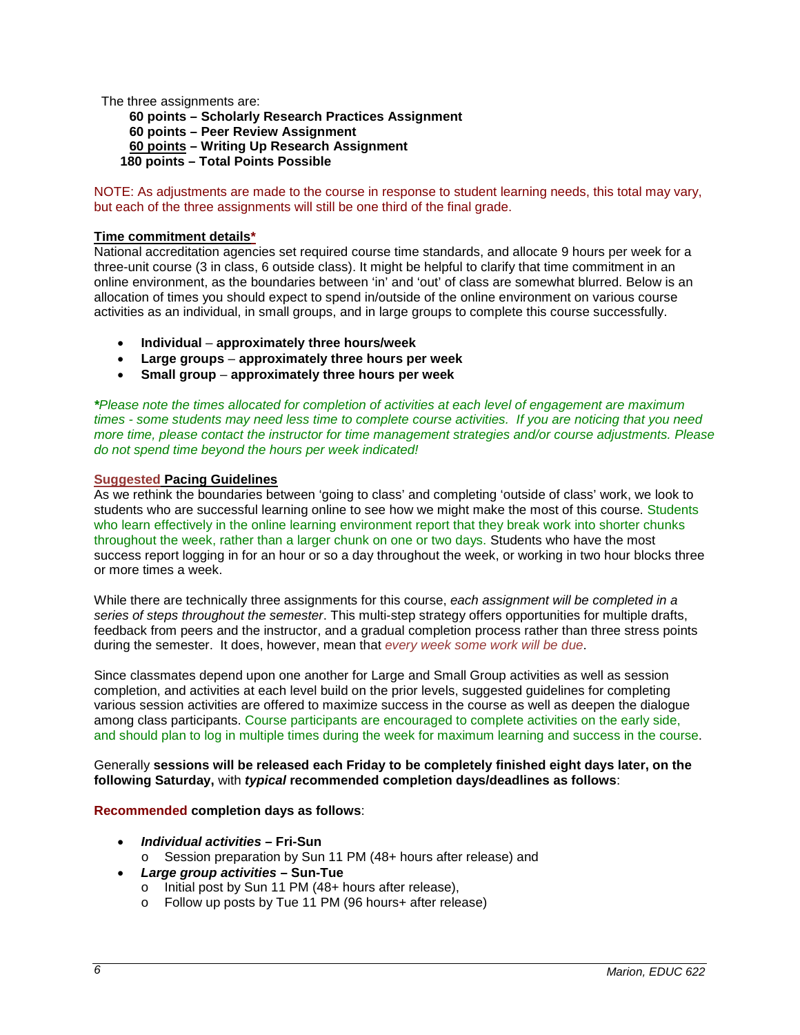The three assignments are:

**60 points – Scholarly Research Practices Assignment 60 points – Peer Review Assignment 60 points – Writing Up Research Assignment 180 points – Total Points Possible**

NOTE: As adjustments are made to the course in response to student learning needs, this total may vary, but each of the three assignments will still be one third of the final grade.

# **Time commitment details\***

National accreditation agencies set required course time standards, and allocate 9 hours per week for a three-unit course (3 in class, 6 outside class). It might be helpful to clarify that time commitment in an online environment, as the boundaries between 'in' and 'out' of class are somewhat blurred. Below is an allocation of times you should expect to spend in/outside of the online environment on various course activities as an individual, in small groups, and in large groups to complete this course successfully.

- **Individual approximately three hours/week**
- **Large groups approximately three hours per week**
- **Small group approximately three hours per week**

*\*Please note the times allocated for completion of activities at each level of engagement are maximum times - some students may need less time to complete course activities. If you are noticing that you need more time, please contact the instructor for time management strategies and/or course adjustments. Please do not spend time beyond the hours per week indicated!*

# **Suggested Pacing Guidelines**

As we rethink the boundaries between 'going to class' and completing 'outside of class' work, we look to students who are successful learning online to see how we might make the most of this course. Students who learn effectively in the online learning environment report that they break work into shorter chunks throughout the week, rather than a larger chunk on one or two days. Students who have the most success report logging in for an hour or so a day throughout the week, or working in two hour blocks three or more times a week.

While there are technically three assignments for this course, *each assignment will be completed in a series of steps throughout the semester*. This multi-step strategy offers opportunities for multiple drafts, feedback from peers and the instructor, and a gradual completion process rather than three stress points during the semester. It does, however, mean that *every week some work will be due*.

Since classmates depend upon one another for Large and Small Group activities as well as session completion, and activities at each level build on the prior levels, suggested guidelines for completing various session activities are offered to maximize success in the course as well as deepen the dialogue among class participants. Course participants are encouraged to complete activities on the early side, and should plan to log in multiple times during the week for maximum learning and success in the course.

Generally **sessions will be released each Friday to be completely finished eight days later, on the following Saturday,** with *typical* **recommended completion days/deadlines as follows**:

# **Recommended completion days as follows**:

- *Individual activities* **– Fri-Sun**
	- o Session preparation by Sun 11 PM (48+ hours after release) and
- *Large group activities* **– Sun-Tue**
	- o Initial post by Sun 11 PM (48+ hours after release),
	- o Follow up posts by Tue 11 PM (96 hours+ after release)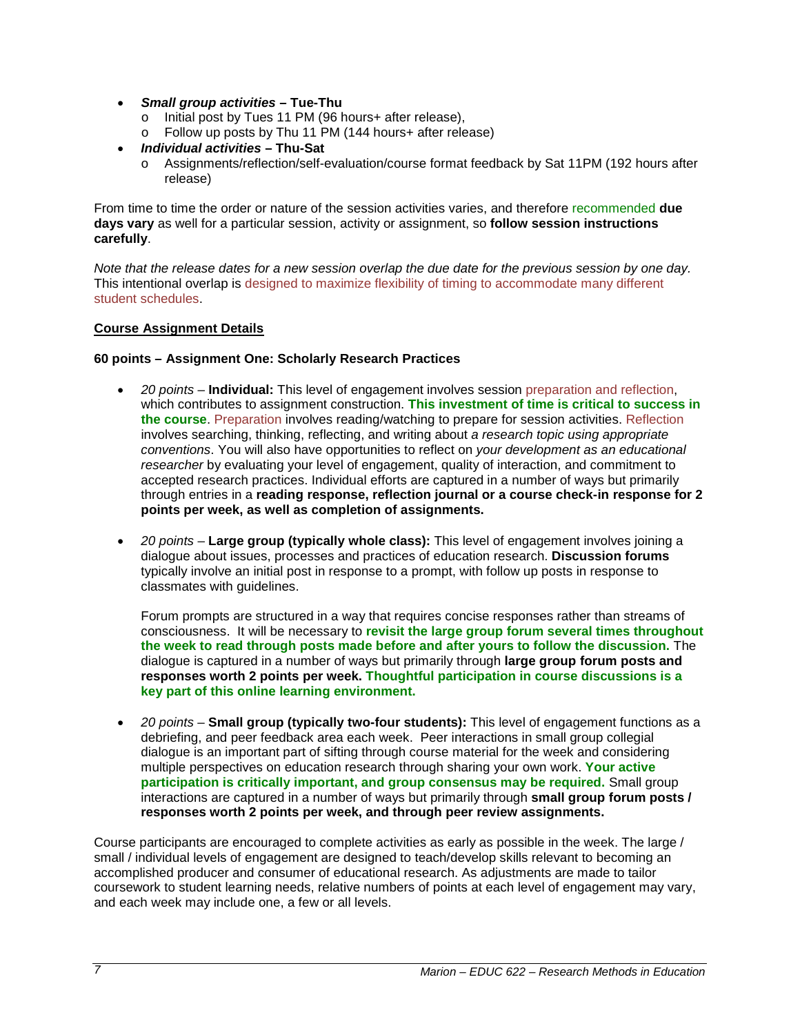- *Small group activities* **– Tue-Thu**
	- o Initial post by Tues 11 PM (96 hours+ after release),
	- o Follow up posts by Thu 11 PM (144 hours+ after release)
- *Individual activities* **– Thu-Sat**
	- o Assignments/reflection/self-evaluation/course format feedback by Sat 11PM (192 hours after release)

From time to time the order or nature of the session activities varies, and therefore recommended **due days vary** as well for a particular session, activity or assignment, so **follow session instructions carefully**.

*Note that the release dates for a new session overlap the due date for the previous session by one day.* This intentional overlap is designed to maximize flexibility of timing to accommodate many different student schedules.

### **Course Assignment Details**

### **60 points – Assignment One: Scholarly Research Practices**

- *20 points* **Individual:** This level of engagement involves session preparation and reflection, which contributes to assignment construction. **This investment of time is critical to success in the course**. Preparation involves reading/watching to prepare for session activities. Reflection involves searching, thinking, reflecting, and writing about *a research topic using appropriate conventions*. You will also have opportunities to reflect on *your development as an educational researcher* by evaluating your level of engagement, quality of interaction, and commitment to accepted research practices. Individual efforts are captured in a number of ways but primarily through entries in a **reading response, reflection journal or a course check-in response for 2 points per week, as well as completion of assignments.**
- *20 points* **Large group (typically whole class):** This level of engagement involves joining a dialogue about issues, processes and practices of education research. **Discussion forums** typically involve an initial post in response to a prompt, with follow up posts in response to classmates with guidelines.

Forum prompts are structured in a way that requires concise responses rather than streams of consciousness. It will be necessary to **revisit the large group forum several times throughout the week to read through posts made before and after yours to follow the discussion.** The dialogue is captured in a number of ways but primarily through **large group forum posts and responses worth 2 points per week. Thoughtful participation in course discussions is a key part of this online learning environment.**

• *20 points* – **Small group (typically two-four students):** This level of engagement functions as a debriefing, and peer feedback area each week. Peer interactions in small group collegial dialogue is an important part of sifting through course material for the week and considering multiple perspectives on education research through sharing your own work. **Your active participation is critically important, and group consensus may be required.** Small group interactions are captured in a number of ways but primarily through **small group forum posts / responses worth 2 points per week, and through peer review assignments.** 

Course participants are encouraged to complete activities as early as possible in the week. The large / small / individual levels of engagement are designed to teach/develop skills relevant to becoming an accomplished producer and consumer of educational research. As adjustments are made to tailor coursework to student learning needs, relative numbers of points at each level of engagement may vary, and each week may include one, a few or all levels.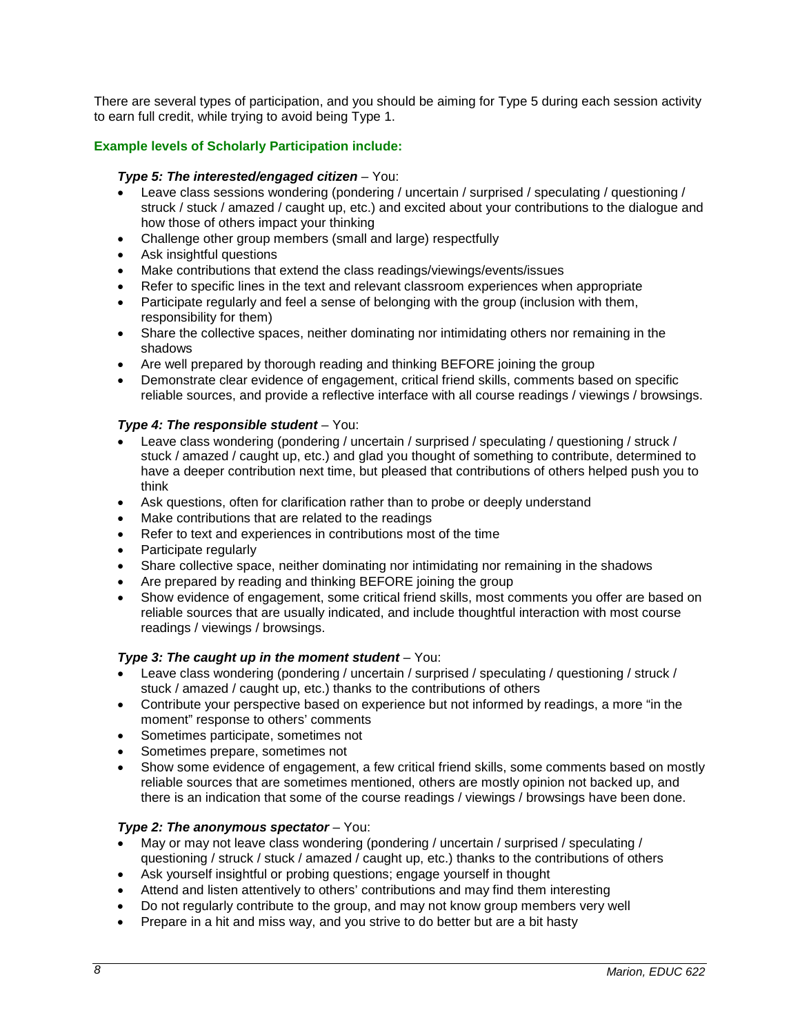There are several types of participation, and you should be aiming for Type 5 during each session activity to earn full credit, while trying to avoid being Type 1.

# **Example levels of Scholarly Participation include:**

### *Type 5: The interested/engaged citizen* – You:

- Leave class sessions wondering (pondering / uncertain / surprised / speculating / questioning / struck / stuck / amazed / caught up, etc.) and excited about your contributions to the dialogue and how those of others impact your thinking
- Challenge other group members (small and large) respectfully
- Ask insightful questions
- Make contributions that extend the class readings/viewings/events/issues
- Refer to specific lines in the text and relevant classroom experiences when appropriate
- Participate regularly and feel a sense of belonging with the group (inclusion with them, responsibility for them)
- Share the collective spaces, neither dominating nor intimidating others nor remaining in the shadows
- Are well prepared by thorough reading and thinking BEFORE joining the group
- Demonstrate clear evidence of engagement, critical friend skills, comments based on specific reliable sources, and provide a reflective interface with all course readings / viewings / browsings.

### *Type 4: The responsible student* – You:

- Leave class wondering (pondering / uncertain / surprised / speculating / questioning / struck / stuck / amazed / caught up, etc.) and glad you thought of something to contribute, determined to have a deeper contribution next time, but pleased that contributions of others helped push you to think
- Ask questions, often for clarification rather than to probe or deeply understand
- Make contributions that are related to the readings
- Refer to text and experiences in contributions most of the time
- Participate regularly
- Share collective space, neither dominating nor intimidating nor remaining in the shadows
- Are prepared by reading and thinking BEFORE joining the group
- Show evidence of engagement, some critical friend skills, most comments you offer are based on reliable sources that are usually indicated, and include thoughtful interaction with most course readings / viewings / browsings.

#### *Type 3: The caught up in the moment student* – You:

- Leave class wondering (pondering / uncertain / surprised / speculating / questioning / struck / stuck / amazed / caught up, etc.) thanks to the contributions of others
- Contribute your perspective based on experience but not informed by readings, a more "in the moment" response to others' comments
- Sometimes participate, sometimes not
- Sometimes prepare, sometimes not
- Show some evidence of engagement, a few critical friend skills, some comments based on mostly reliable sources that are sometimes mentioned, others are mostly opinion not backed up, and there is an indication that some of the course readings / viewings / browsings have been done.

# *Type 2: The anonymous spectator* – You:

- May or may not leave class wondering (pondering / uncertain / surprised / speculating / questioning / struck / stuck / amazed / caught up, etc.) thanks to the contributions of others
- Ask yourself insightful or probing questions; engage yourself in thought
- Attend and listen attentively to others' contributions and may find them interesting
- Do not regularly contribute to the group, and may not know group members very well
- Prepare in a hit and miss way, and you strive to do better but are a bit hasty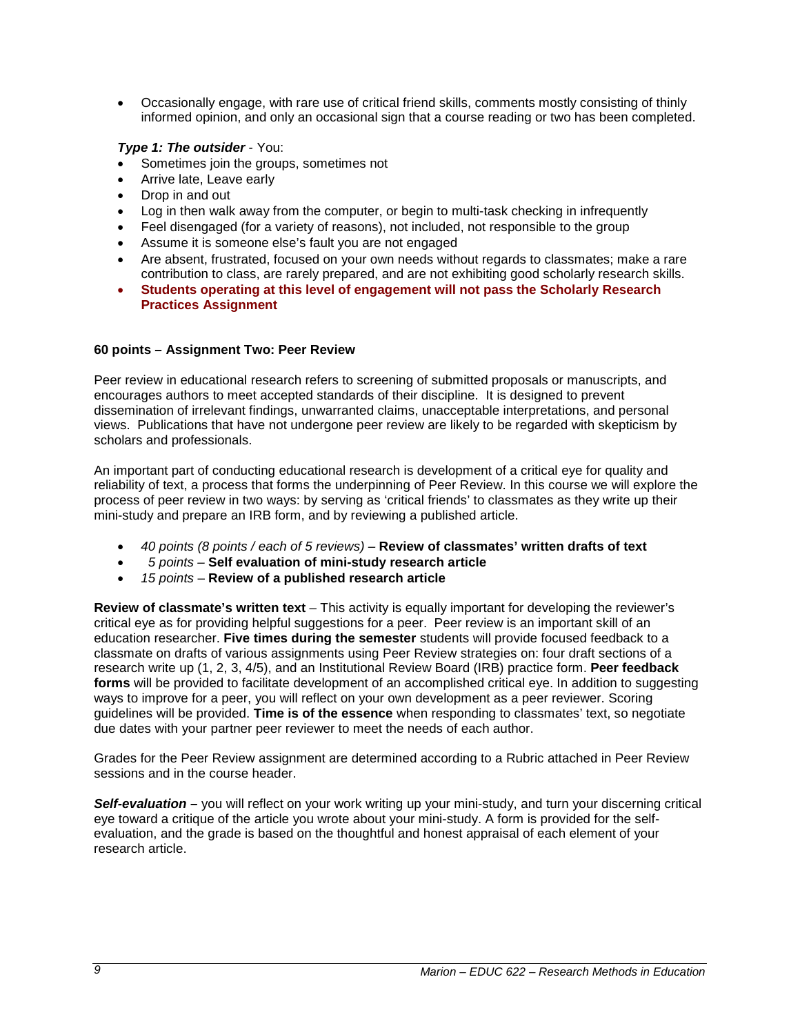• Occasionally engage, with rare use of critical friend skills, comments mostly consisting of thinly informed opinion, and only an occasional sign that a course reading or two has been completed.

# *Type 1: The outsider* - You:

- Sometimes join the groups, sometimes not
- Arrive late, Leave early
- Drop in and out
- Log in then walk away from the computer, or begin to multi-task checking in infrequently
- Feel disengaged (for a variety of reasons), not included, not responsible to the group
- Assume it is someone else's fault you are not engaged
- Are absent, frustrated, focused on your own needs without regards to classmates; make a rare contribution to class, are rarely prepared, and are not exhibiting good scholarly research skills.
- **Students operating at this level of engagement will not pass the Scholarly Research Practices Assignment**

# **60 points – Assignment Two: Peer Review**

Peer review in educational research refers to screening of submitted proposals or manuscripts, and encourages authors to meet accepted standards of their discipline. It is designed to prevent dissemination of irrelevant findings, unwarranted claims, unacceptable interpretations, and personal views. Publications that have not undergone peer review are likely to be regarded with skepticism by scholars and professionals.

An important part of conducting educational research is development of a critical eye for quality and reliability of text, a process that forms the underpinning of Peer Review. In this course we will explore the process of peer review in two ways: by serving as 'critical friends' to classmates as they write up their mini-study and prepare an IRB form, and by reviewing a published article.

- *40 points (8 points / each of 5 reviews) –* **Review of classmates' written drafts of text**
- • *5 points –* **Self evaluation of mini-study research article**
- *15 points* **Review of a published research article**

**Review of classmate's written text** – This activity is equally important for developing the reviewer's critical eye as for providing helpful suggestions for a peer. Peer review is an important skill of an education researcher. **Five times during the semester** students will provide focused feedback to a classmate on drafts of various assignments using Peer Review strategies on: four draft sections of a research write up (1, 2, 3, 4/5), and an Institutional Review Board (IRB) practice form. **Peer feedback forms** will be provided to facilitate development of an accomplished critical eye. In addition to suggesting ways to improve for a peer, you will reflect on your own development as a peer reviewer. Scoring guidelines will be provided. **Time is of the essence** when responding to classmates' text, so negotiate due dates with your partner peer reviewer to meet the needs of each author.

Grades for the Peer Review assignment are determined according to a Rubric attached in Peer Review sessions and in the course header.

*Self-evaluation –* you will reflect on your work writing up your mini-study, and turn your discerning critical eye toward a critique of the article you wrote about your mini-study. A form is provided for the selfevaluation, and the grade is based on the thoughtful and honest appraisal of each element of your research article.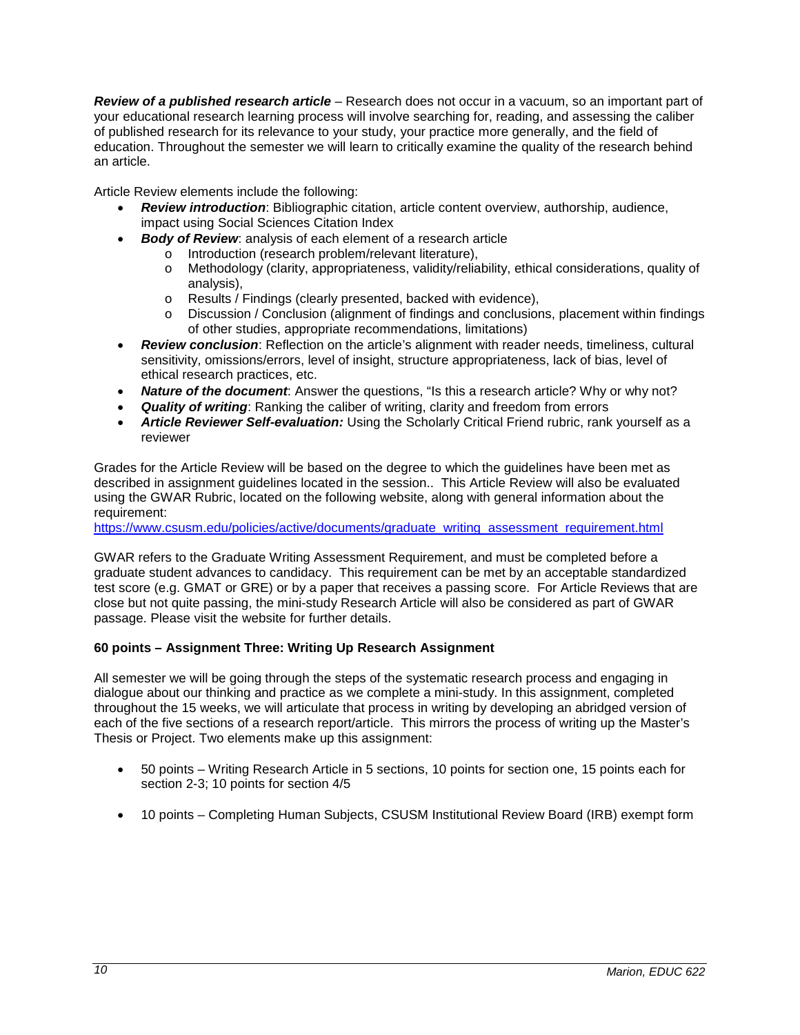*Review of a published research article* – Research does not occur in a vacuum, so an important part of your educational research learning process will involve searching for, reading, and assessing the caliber of published research for its relevance to your study, your practice more generally, and the field of education. Throughout the semester we will learn to critically examine the quality of the research behind an article.

Article Review elements include the following:

- *Review introduction*: Bibliographic citation, article content overview, authorship, audience, impact using Social Sciences Citation Index
- **Body of Review:** analysis of each element of a research article o Introduction (research problem/relevant literature).
	- o Introduction (research problem/relevant literature),<br>
	o Methodology (clarity, appropriateness, validity/relial
		- Methodology (clarity, appropriateness, validity/reliability, ethical considerations, quality of analysis),
		- o Results / Findings (clearly presented, backed with evidence),<br>
		o Discussion / Conclusion (alignment of findings and conclusion
		- Discussion / Conclusion (alignment of findings and conclusions, placement within findings of other studies, appropriate recommendations, limitations)
- *Review conclusion*: Reflection on the article's alignment with reader needs, timeliness, cultural sensitivity, omissions/errors, level of insight, structure appropriateness, lack of bias, level of ethical research practices, etc.
- *Nature of the document*: Answer the questions, "Is this a research article? Why or why not?
- *Quality of writing*: Ranking the caliber of writing, clarity and freedom from errors
- *Article Reviewer Self-evaluation:* Using the Scholarly Critical Friend rubric, rank yourself as a reviewer

Grades for the Article Review will be based on the degree to which the guidelines have been met as described in assignment guidelines located in the session.. This Article Review will also be evaluated using the GWAR Rubric, located on the following website, along with general information about the requirement:

[https://www.csusm.edu/policies/active/documents/graduate\\_writing\\_assessment\\_requirement.html](https://www.csusm.edu/policies/active/documents/graduate_writing_assessment_requirement.html)

GWAR refers to the Graduate Writing Assessment Requirement, and must be completed before a graduate student advances to candidacy. This requirement can be met by an acceptable standardized test score (e.g. GMAT or GRE) or by a paper that receives a passing score. For Article Reviews that are close but not quite passing, the mini-study Research Article will also be considered as part of GWAR passage. Please visit the website for further details.

# **60 points – Assignment Three: Writing Up Research Assignment**

All semester we will be going through the steps of the systematic research process and engaging in dialogue about our thinking and practice as we complete a mini-study. In this assignment, completed throughout the 15 weeks, we will articulate that process in writing by developing an abridged version of each of the five sections of a research report/article. This mirrors the process of writing up the Master's Thesis or Project. Two elements make up this assignment:

- 50 points Writing Research Article in 5 sections, 10 points for section one, 15 points each for section 2-3; 10 points for section 4/5
- 10 points Completing Human Subjects, CSUSM Institutional Review Board (IRB) exempt form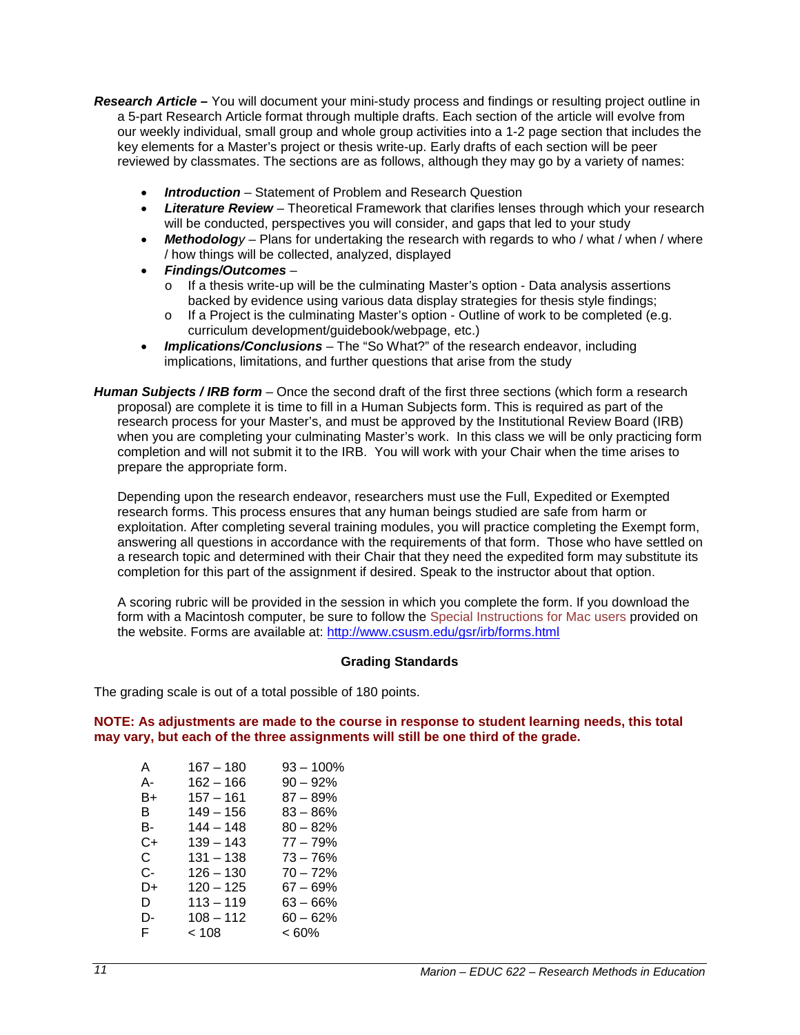*Research Article –* You will document your mini-study process and findings or resulting project outline in a 5-part Research Article format through multiple drafts. Each section of the article will evolve from our weekly individual, small group and whole group activities into a 1-2 page section that includes the key elements for a Master's project or thesis write-up. Early drafts of each section will be peer reviewed by classmates. The sections are as follows, although they may go by a variety of names:

- *Introduction* Statement of Problem and Research Question
- *Literature Review* Theoretical Framework that clarifies lenses through which your research will be conducted, perspectives you will consider, and gaps that led to your study
- *Methodology* Plans for undertaking the research with regards to who / what / when / where / how things will be collected, analyzed, displayed
- *Findings/Outcomes*
	- o If a thesis write-up will be the culminating Master's option Data analysis assertions backed by evidence using various data display strategies for thesis style findings;
	- o If a Project is the culminating Master's option Outline of work to be completed (e.g. curriculum development/guidebook/webpage, etc.)
- *Implications/Conclusions* The "So What?" of the research endeavor, including implications, limitations, and further questions that arise from the study
- *Human Subjects / IRB form* Once the second draft of the first three sections (which form a research proposal) are complete it is time to fill in a Human Subjects form. This is required as part of the research process for your Master's, and must be approved by the Institutional Review Board (IRB) when you are completing your culminating Master's work. In this class we will be only practicing form completion and will not submit it to the IRB. You will work with your Chair when the time arises to prepare the appropriate form.

Depending upon the research endeavor, researchers must use the Full, Expedited or Exempted research forms. This process ensures that any human beings studied are safe from harm or exploitation. After completing several training modules, you will practice completing the Exempt form, answering all questions in accordance with the requirements of that form. Those who have settled on a research topic and determined with their Chair that they need the expedited form may substitute its completion for this part of the assignment if desired. Speak to the instructor about that option.

A scoring rubric will be provided in the session in which you complete the form. If you download the form with a Macintosh computer, be sure to follow the Special Instructions for Mac users provided on the website. Forms are available at:<http://www.csusm.edu/gsr/irb/forms.html>

# **Grading Standards**

The grading scale is out of a total possible of 180 points.

**NOTE: As adjustments are made to the course in response to student learning needs, this total may vary, but each of the three assignments will still be one third of the grade.**

| A  | $167 - 180$ | $93 - 100%$ |
|----|-------------|-------------|
| А- | $162 - 166$ | $90 - 92%$  |
| B+ | $157 - 161$ | $87 - 89%$  |
| в  | $149 - 156$ | $83 - 86%$  |
| в- | $144 - 148$ | $80 - 82%$  |
| C+ | $139 - 143$ | $77 - 79%$  |
| C. | $131 - 138$ | $73 - 76%$  |
| C- | $126 - 130$ | $70 - 72%$  |
| D+ | $120 - 125$ | 67 – 69%    |
| D  | $113 - 119$ | $63 - 66%$  |
| D- | $108 - 112$ | $60 - 62%$  |
| F. | < 108       | < 60%       |
|    |             |             |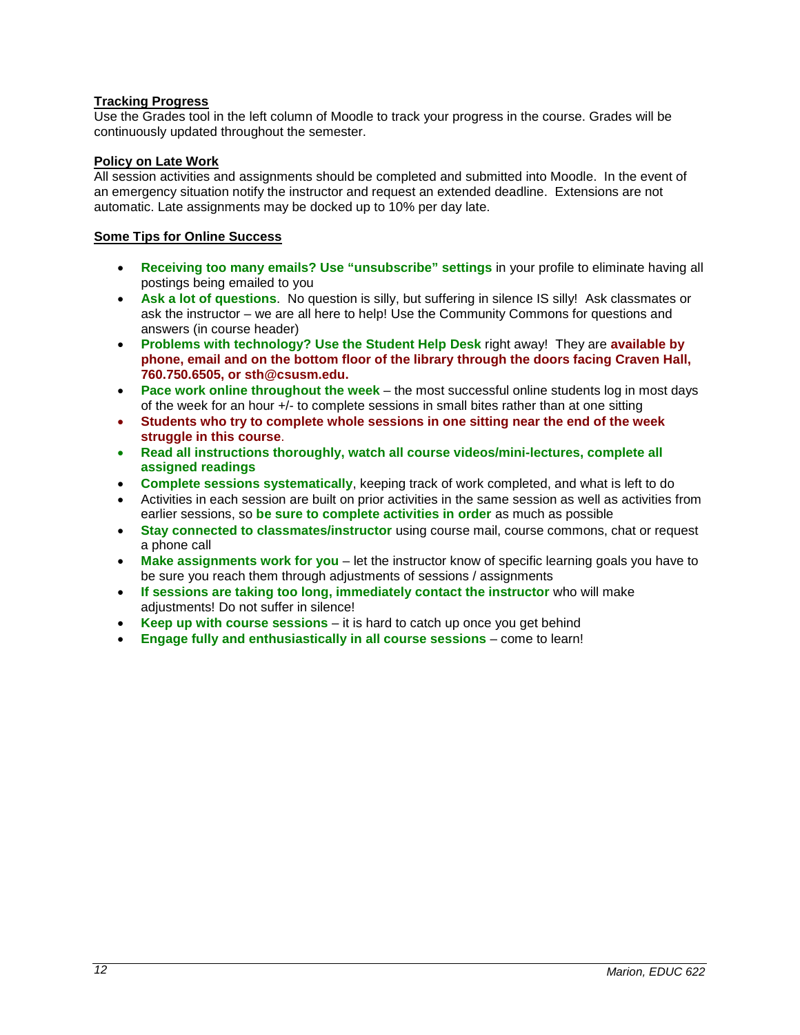# **Tracking Progress**

Use the Grades tool in the left column of Moodle to track your progress in the course. Grades will be continuously updated throughout the semester.

# **Policy on Late Work**

All session activities and assignments should be completed and submitted into Moodle. In the event of an emergency situation notify the instructor and request an extended deadline. Extensions are not automatic. Late assignments may be docked up to 10% per day late.

# **Some Tips for Online Success**

- **Receiving too many emails? Use "unsubscribe" settings** in your profile to eliminate having all postings being emailed to you
- **Ask a lot of questions**. No question is silly, but suffering in silence IS silly! Ask classmates or ask the instructor – we are all here to help! Use the Community Commons for questions and answers (in course header)
- **Problems with technology? Use the Student Help Desk** right away! They are **available by phone, email and on the bottom floor of the library through the doors facing Craven Hall, 760.750.6505, or sth@csusm.edu.**
- **Pace work online throughout the week** the most successful online students log in most days of the week for an hour +/- to complete sessions in small bites rather than at one sitting
- **Students who try to complete whole sessions in one sitting near the end of the week struggle in this course**.
- **Read all instructions thoroughly, watch all course videos/mini-lectures, complete all assigned readings**
- **Complete sessions systematically**, keeping track of work completed, and what is left to do
- Activities in each session are built on prior activities in the same session as well as activities from earlier sessions, so **be sure to complete activities in order** as much as possible
- **Stay connected to classmates/instructor** using course mail, course commons, chat or request a phone call
- **Make assignments work for you** let the instructor know of specific learning goals you have to be sure you reach them through adjustments of sessions / assignments
- **If sessions are taking too long, immediately contact the instructor** who will make adjustments! Do not suffer in silence!
- **Keep up with course sessions** it is hard to catch up once you get behind
- **Engage fully and enthusiastically in all course sessions** come to learn!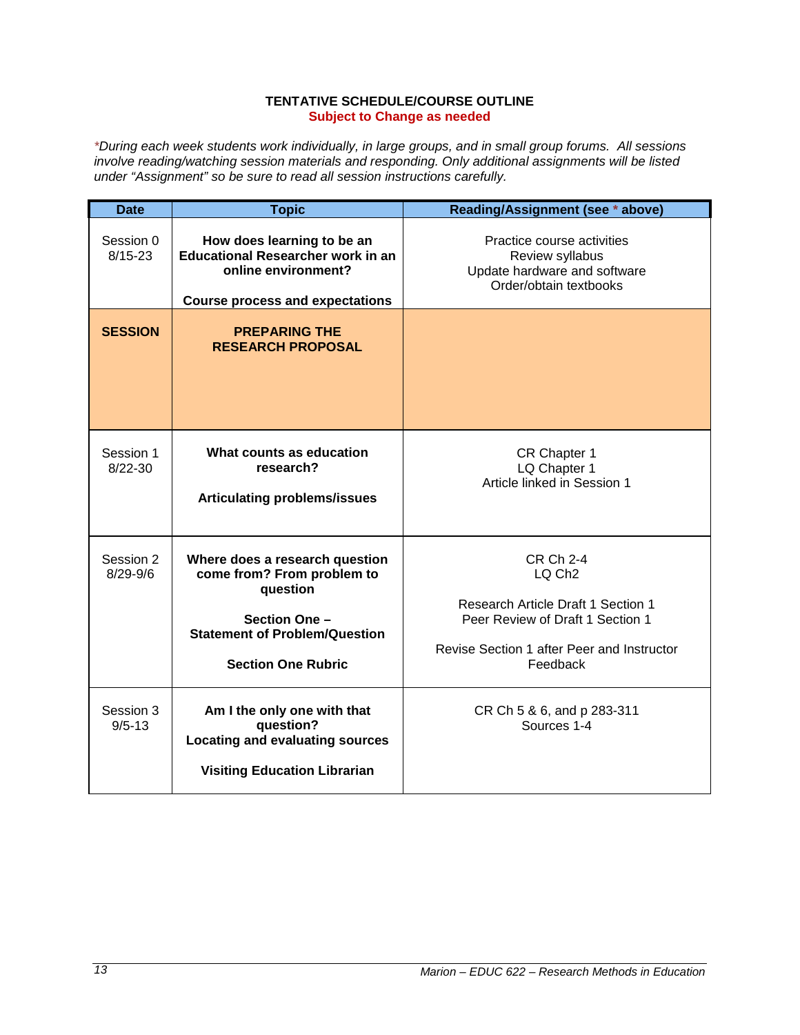### **TENTATIVE SCHEDULE/COURSE OUTLINE Subject to Change as needed**

*\*During each week students work individually, in large groups, and in small group forums. All sessions involve reading/watching session materials and responding. Only additional assignments will be listed under "Assignment" so be sure to read all session instructions carefully.*

| <b>Date</b>               | <b>Topic</b>                                                                                                                                                   | Reading/Assignment (see * above)                                                                                                                                                  |
|---------------------------|----------------------------------------------------------------------------------------------------------------------------------------------------------------|-----------------------------------------------------------------------------------------------------------------------------------------------------------------------------------|
| Session 0<br>$8/15 - 23$  | How does learning to be an<br><b>Educational Researcher work in an</b><br>online environment?<br><b>Course process and expectations</b>                        | Practice course activities<br>Review syllabus<br>Update hardware and software<br>Order/obtain textbooks                                                                           |
| <b>SESSION</b>            | <b>PREPARING THE</b><br><b>RESEARCH PROPOSAL</b>                                                                                                               |                                                                                                                                                                                   |
| Session 1<br>$8/22 - 30$  | What counts as education<br>research?<br><b>Articulating problems/issues</b>                                                                                   | CR Chapter 1<br>LQ Chapter 1<br>Article linked in Session 1                                                                                                                       |
| Session 2<br>$8/29 - 9/6$ | Where does a research question<br>come from? From problem to<br>question<br>Section One -<br><b>Statement of Problem/Question</b><br><b>Section One Rubric</b> | <b>CR Ch 2-4</b><br>LQ Ch <sub>2</sub><br><b>Research Article Draft 1 Section 1</b><br>Peer Review of Draft 1 Section 1<br>Revise Section 1 after Peer and Instructor<br>Feedback |
| Session 3<br>$9/5 - 13$   | Am I the only one with that<br>question?<br><b>Locating and evaluating sources</b><br><b>Visiting Education Librarian</b>                                      | CR Ch 5 & 6, and p 283-311<br>Sources 1-4                                                                                                                                         |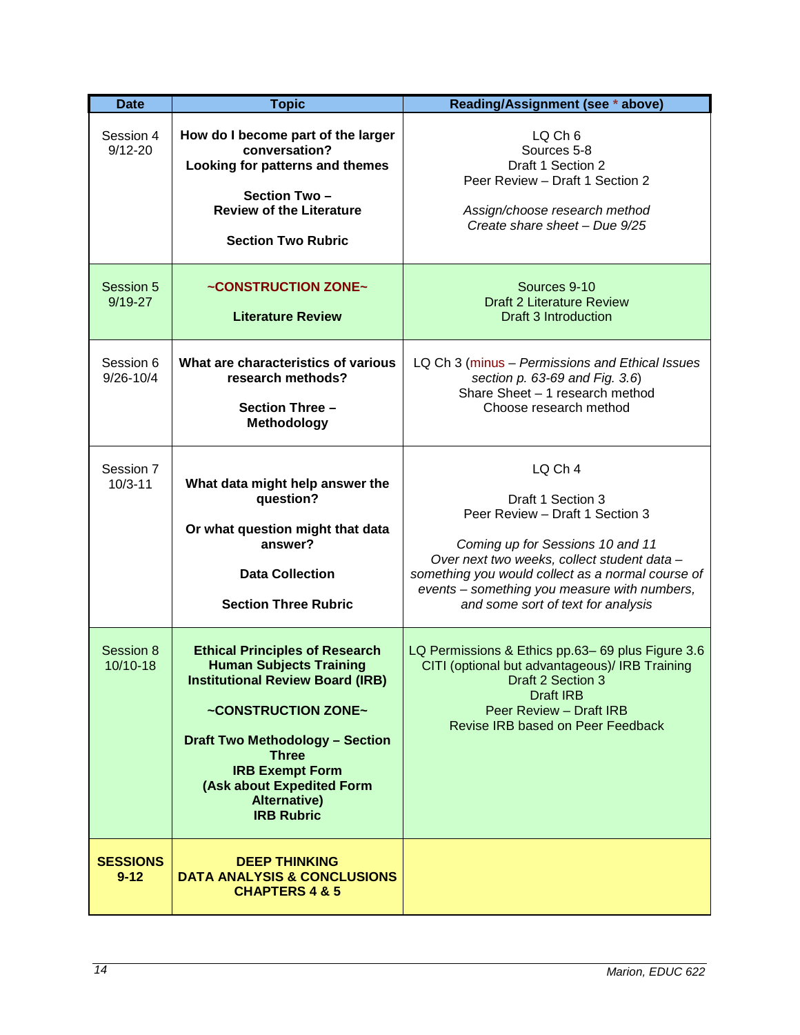| <b>Date</b>                 | <b>Topic</b>                                                                                                                                                                                                                                                                                           | Reading/Assignment (see * above)                                                                                                                                                                                                                                                              |
|-----------------------------|--------------------------------------------------------------------------------------------------------------------------------------------------------------------------------------------------------------------------------------------------------------------------------------------------------|-----------------------------------------------------------------------------------------------------------------------------------------------------------------------------------------------------------------------------------------------------------------------------------------------|
| Session 4<br>$9/12 - 20$    | How do I become part of the larger<br>conversation?<br>Looking for patterns and themes<br>Section Two-<br><b>Review of the Literature</b><br><b>Section Two Rubric</b>                                                                                                                                 | LQ Ch <sub>6</sub><br>Sources 5-8<br>Draft 1 Section 2<br>Peer Review - Draft 1 Section 2<br>Assign/choose research method<br>Create share sheet - Due 9/25                                                                                                                                   |
| Session 5<br>$9/19 - 27$    | ~CONSTRUCTION ZONE~<br><b>Literature Review</b>                                                                                                                                                                                                                                                        | Sources 9-10<br><b>Draft 2 Literature Review</b><br>Draft 3 Introduction                                                                                                                                                                                                                      |
| Session 6<br>$9/26 - 10/4$  | What are characteristics of various<br>research methods?<br>Section Three -<br><b>Methodology</b>                                                                                                                                                                                                      | LQ Ch 3 (minus - Permissions and Ethical Issues<br>section p. 63-69 and Fig. 3.6)<br>Share Sheet - 1 research method<br>Choose research method                                                                                                                                                |
| Session 7<br>$10/3 - 11$    | What data might help answer the<br>question?<br>Or what question might that data<br>answer?<br><b>Data Collection</b><br><b>Section Three Rubric</b>                                                                                                                                                   | LQ Ch 4<br>Draft 1 Section 3<br>Peer Review - Draft 1 Section 3<br>Coming up for Sessions 10 and 11<br>Over next two weeks, collect student data -<br>something you would collect as a normal course of<br>events - something you measure with numbers,<br>and some sort of text for analysis |
| Session 8<br>10/10-18       | <b>Ethical Principles of Research</b><br><b>Human Subjects Training</b><br><b>Institutional Review Board (IRB)</b><br>~CONSTRUCTION ZONE~<br><b>Draft Two Methodology - Section</b><br><b>Three</b><br><b>IRB Exempt Form</b><br>(Ask about Expedited Form<br><b>Alternative)</b><br><b>IRB Rubric</b> | LQ Permissions & Ethics pp.63-69 plus Figure 3.6<br>CITI (optional but advantageous)/ IRB Training<br><b>Example 1</b> Draft 2 Section 3<br><b>Draft IRB</b><br><b>Peer Review - Draft IRB</b><br>Revise IRB based on Peer Feedback                                                           |
| <b>SESSIONS</b><br>$9 - 12$ | <b>DEEP THINKING</b><br><b>DATA ANALYSIS &amp; CONCLUSIONS</b><br><b>CHAPTERS 4 &amp; 5</b>                                                                                                                                                                                                            |                                                                                                                                                                                                                                                                                               |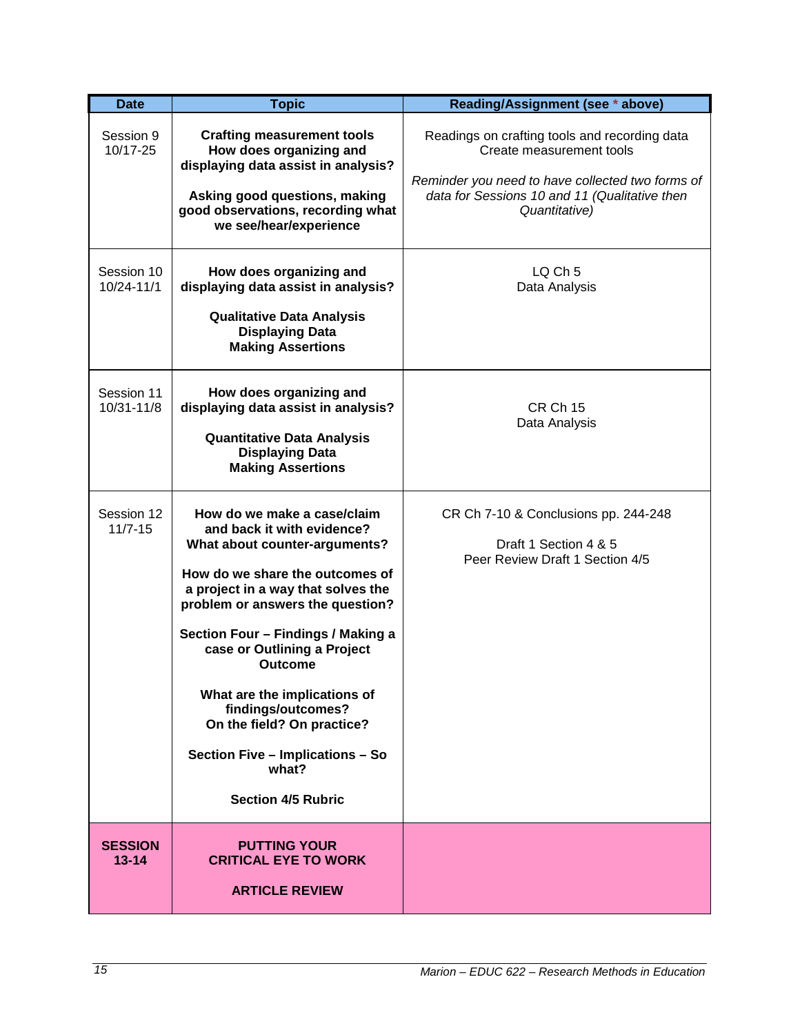| <b>Date</b>                 | <b>Topic</b>                                                                                                                                                                                                                                                                                                                                                                                                                                                 | Reading/Assignment (see * above)                                                                                                                                                                |
|-----------------------------|--------------------------------------------------------------------------------------------------------------------------------------------------------------------------------------------------------------------------------------------------------------------------------------------------------------------------------------------------------------------------------------------------------------------------------------------------------------|-------------------------------------------------------------------------------------------------------------------------------------------------------------------------------------------------|
| Session 9<br>10/17-25       | <b>Crafting measurement tools</b><br>How does organizing and<br>displaying data assist in analysis?<br>Asking good questions, making<br>good observations, recording what<br>we see/hear/experience                                                                                                                                                                                                                                                          | Readings on crafting tools and recording data<br>Create measurement tools<br>Reminder you need to have collected two forms of<br>data for Sessions 10 and 11 (Qualitative then<br>Quantitative) |
| Session 10<br>10/24-11/1    | How does organizing and<br>displaying data assist in analysis?<br><b>Qualitative Data Analysis</b><br><b>Displaying Data</b><br><b>Making Assertions</b>                                                                                                                                                                                                                                                                                                     | LO <sub>Ch</sub> 5<br>Data Analysis                                                                                                                                                             |
| Session 11<br>10/31-11/8    | How does organizing and<br>displaying data assist in analysis?<br><b>Quantitative Data Analysis</b><br><b>Displaying Data</b><br><b>Making Assertions</b>                                                                                                                                                                                                                                                                                                    | <b>CR Ch 15</b><br>Data Analysis                                                                                                                                                                |
| Session 12<br>$11/7 - 15$   | How do we make a case/claim<br>and back it with evidence?<br>What about counter-arguments?<br>How do we share the outcomes of<br>a project in a way that solves the<br>problem or answers the question?<br>Section Four - Findings / Making a<br>case or Outlining a Project<br><b>Outcome</b><br>What are the implications of<br>findings/outcomes?<br>On the field? On practice?<br>Section Five - Implications - So<br>what?<br><b>Section 4/5 Rubric</b> | CR Ch 7-10 & Conclusions pp. 244-248<br>Draft 1 Section 4 & 5<br>Peer Review Draft 1 Section 4/5                                                                                                |
| <b>SESSION</b><br>$13 - 14$ | <b>PUTTING YOUR</b><br><b>CRITICAL EYE TO WORK</b><br><b>ARTICLE REVIEW</b>                                                                                                                                                                                                                                                                                                                                                                                  |                                                                                                                                                                                                 |